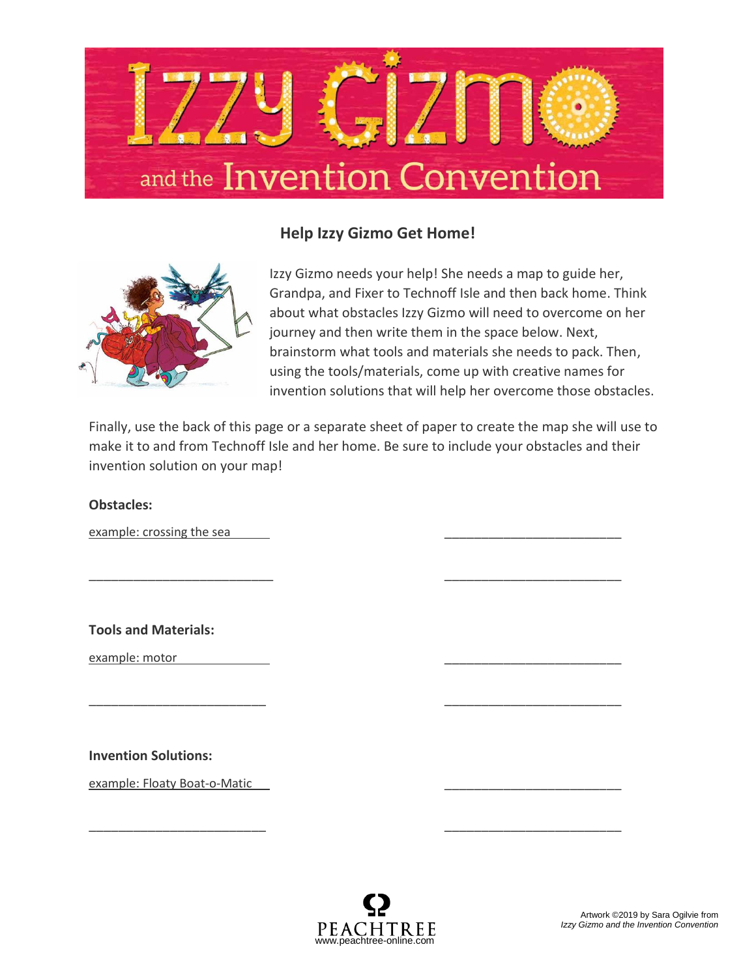

## **Help Izzy Gizmo Get Home!**



Izzy Gizmo needs your help! She needs a map to guide her, Grandpa, and Fixer to Technoff Isle and then back home. Think about what obstacles Izzy Gizmo will need to overcome on her journey and then write them in the space below. Next, brainstorm what tools and materials she needs to pack. Then, using the tools/materials, come up with creative names for invention solutions that will help her overcome those obstacles.

Finally, use the back of this page or a separate sheet of paper to create the map she will use to make it to and from Technoff Isle and her home. Be sure to include your obstacles and their invention solution on your map!

\_\_\_\_\_\_\_\_\_\_\_\_\_\_\_\_\_\_\_\_\_\_\_\_\_ \_\_\_\_\_\_\_\_\_\_\_\_\_\_\_\_\_\_\_\_\_\_\_\_

\_\_\_\_\_\_\_\_\_\_\_\_\_\_\_\_\_\_\_\_\_\_\_\_ \_\_\_\_\_\_\_\_\_\_\_\_\_\_\_\_\_\_\_\_\_\_\_\_

\_\_\_\_\_\_\_\_\_\_\_\_\_\_\_\_\_\_\_\_\_\_\_\_ \_\_\_\_\_\_\_\_\_\_\_\_\_\_\_\_\_\_\_\_\_\_\_\_

## **Obstacles:**

example: crossing the sea

**Tools and Materials:**

example: motor

**Invention Solutions:**

example: Floaty Boat-o-Matic